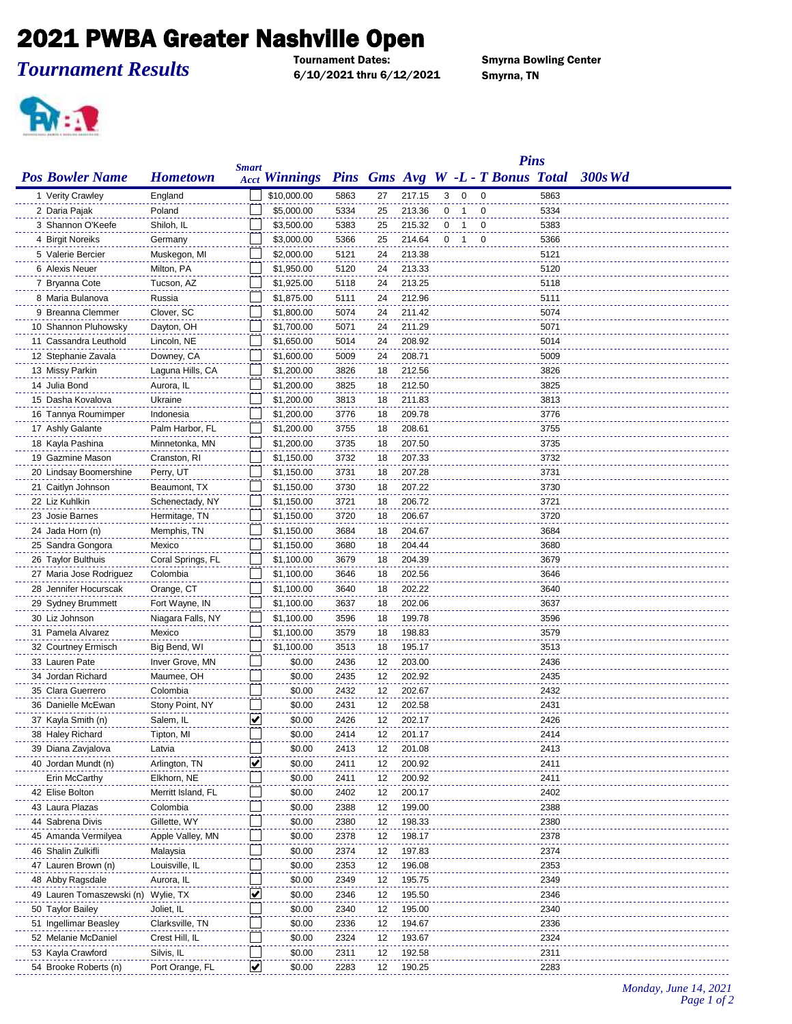## **2021 PWBA Greater Nashville Open**

*Tournament Results*

6/10/2021 thru 6/12/2021 Smyrna, TN

**Smyrna Bowling Center** 



|                                       |                                 |              |                                                 |              |          |                  |             |                |                         | <b>Pins</b> |      |            |
|---------------------------------------|---------------------------------|--------------|-------------------------------------------------|--------------|----------|------------------|-------------|----------------|-------------------------|-------------|------|------------|
| <b>Pos Bowler Name</b>                | <b>Hometown</b>                 | <b>Smart</b> | Acct Winnings Pins Gms Avg W -L - T Bonus Total |              |          |                  |             |                |                         |             |      | $-300s$ Wd |
| 1 Verity Crawley                      | England                         |              | \$10,000.00                                     | 5863         | 27       | 217.15           | 3           | $\mathbf 0$    | $\mathbf 0$             |             | 5863 |            |
| 2 Daria Pajak                         | Poland                          |              | \$5,000.00                                      | 5334         | 25       | 213.36           | $\mathbf 0$ | $\mathbf 1$    | 0                       |             | 5334 |            |
| 3 Shannon O'Keefe                     | Shiloh, IL                      |              | \$3,500.00                                      | 5383         | 25       | 215.32           | 0           | -1             | 0                       |             | 5383 |            |
| 4 Birgit Noreiks                      | Germany                         |              | \$3,000.00                                      | 5366         | 25       | 214.64           | 0           | $\overline{1}$ | $\overline{\mathbf{0}}$ |             | 5366 |            |
| 5 Valerie Bercier                     | Muskegon, MI                    |              | \$2,000.00                                      | 5121         | 24       | 213.38           |             |                |                         |             | 5121 |            |
| 6 Alexis Neuer                        | Milton, PA                      |              | \$1,950.00                                      | 5120         | 24       | 213.33           |             |                |                         |             | 5120 |            |
| 7 Bryanna Cote                        | Tucson, AZ                      |              | \$1,925.00                                      | 5118         | 24       | 213.25           |             |                |                         |             | 5118 |            |
| 8 Maria Bulanova                      | Russia                          |              | \$1,875.00                                      | 5111         | 24       | 212.96           |             |                |                         |             | 5111 |            |
| 9 Breanna Clemmer                     | Clover, SC                      |              | \$1,800.00                                      | 5074         | 24       | 211.42           |             |                |                         |             | 5074 |            |
| 10 Shannon Pluhowsky                  | Dayton, OH                      |              | \$1,700.00                                      | 5071         | 24       | 211.29           |             |                |                         |             | 5071 |            |
| 11 Cassandra Leuthold                 | Lincoln, NE                     |              | \$1,650.00                                      | 5014         | 24       | 208.92           |             |                |                         |             | 5014 |            |
| 12 Stephanie Zavala                   | Downey, CA                      |              | \$1,600.00                                      | 5009         | 24       | 208.71           |             |                |                         |             | 5009 |            |
| 13 Missy Parkin                       | Laguna Hills, CA                |              | \$1,200.00                                      | 3826         | 18       | 212.56           |             |                |                         |             | 3826 |            |
| 14 Julia Bond                         | Aurora, IL                      |              | \$1,200.00                                      | 3825         | 18       | 212.50           |             |                |                         |             | 3825 |            |
| 15 Dasha Kovalova                     | Ukraine                         |              | \$1,200.00                                      | 3813         | 18       | 211.83           |             |                |                         |             | 3813 |            |
| 16 Tannya Roumimper                   | Indonesia                       |              | \$1,200.00                                      | 3776         | 18       | 209.78           |             |                |                         |             | 3776 |            |
| 17 Ashly Galante                      | Palm Harbor, FL                 |              | \$1,200.00                                      | 3755         | 18       | 208.61           |             |                |                         |             | 3755 |            |
| 18 Kayla Pashina                      | Minnetonka, MN                  |              | \$1,200.00                                      | 3735         | 18       | 207.50           |             |                |                         |             | 3735 |            |
| 19 Gazmine Mason                      | Cranston, RI                    |              | \$1,150.00                                      | 3732         | 18       | 207.33           |             |                |                         |             | 3732 |            |
| 20 Lindsay Boomershine                | Perry, UT                       |              | \$1,150.00                                      | 3731         | 18       | 207.28           |             |                |                         |             | 3731 |            |
| 21 Caitlyn Johnson                    | Beaumont, TX                    |              | \$1,150.00                                      | 3730         | 18       | 207.22           |             |                |                         |             | 3730 |            |
| 22 Liz Kuhlkin                        | Schenectady, NY                 |              | \$1,150.00                                      | 3721         | 18       | 206.72           |             |                |                         |             | 3721 |            |
| 23 Josie Barnes                       |                                 |              | \$1,150.00                                      | 3720         | 18       | 206.67           |             |                |                         |             | 3720 |            |
|                                       | Hermitage, TN                   |              | \$1,150.00                                      |              |          | 204.67           |             |                |                         |             | 3684 |            |
| 24 Jada Horn (n)<br>25 Sandra Gongora | Memphis, TN<br>Mexico           |              | \$1,150.00                                      | 3684<br>3680 | 18<br>18 | 204.44           |             |                |                         |             | 3680 |            |
| 26 Taylor Bulthuis                    |                                 |              | \$1,100.00                                      |              | 18       | 204.39           |             |                |                         |             | 3679 |            |
| 27 Maria Jose Rodriguez               | Coral Springs, FL<br>Colombia   |              | \$1,100.00                                      | 3679<br>3646 | 18       | 202.56           |             |                |                         |             | 3646 |            |
| 28 Jennifer Hocurscak                 | Orange, CT                      |              | \$1,100.00                                      | 3640         | 18       | 202.22           |             |                |                         |             | 3640 |            |
| 29 Sydney Brummett                    | Fort Wayne, IN                  |              | \$1,100.00                                      | 3637         | 18       | 202.06           |             |                |                         |             | 3637 |            |
| 30 Liz Johnson                        | Niagara Falls, NY               |              | \$1,100.00                                      | 3596         | 18       | 199.78           |             |                |                         |             | 3596 |            |
| 31 Pamela Alvarez                     |                                 |              |                                                 |              |          |                  |             |                |                         |             | 3579 |            |
|                                       | Mexico                          |              | \$1,100.00                                      | 3579         | 18       | 198.83<br>195.17 |             |                |                         |             | 3513 |            |
| 32 Courtney Ermisch<br>33 Lauren Pate | Big Bend, WI<br>Inver Grove, MN |              | \$1,100.00<br>\$0.00                            | 3513         | 18       |                  |             |                |                         |             | 2436 |            |
| 34 Jordan Richard                     | Maumee, OH                      |              | \$0.00                                          | 2436<br>2435 | 12<br>12 | 203.00<br>202.92 |             |                |                         |             | 2435 |            |
| 35 Clara Guerrero                     | Colombia                        |              | \$0.00                                          | 2432         | 12       | 202.67           |             |                |                         |             | 2432 |            |
| 36 Danielle McEwan                    |                                 |              | \$0.00                                          | 2431         | 12       | 202.58           |             |                |                         |             | 2431 |            |
| 37 Kayla Smith (n)                    | Stony Point, NY                 | ⊻            | \$0.00                                          | 2426         | 12       | 202.17           |             |                |                         |             | 2426 |            |
|                                       | Salem, IL<br>Tipton, MI         |              | \$0.00                                          | 2414         |          | 201.17           |             |                |                         |             |      |            |
| 38 Haley Richard                      |                                 |              |                                                 |              | 12       |                  |             |                |                         |             | 2414 |            |
| 39 Diana Zavjalova                    | Latvia                          |              | \$0.00                                          | 2413         | 12       | 201.08           |             |                |                         |             | 2413 |            |
| 40 Jordan Mundt (n)                   | Arlington, TN                   | ⊻            | \$0.00                                          | 2411         | 12       | 200.92           |             |                |                         |             | 2411 |            |
| Erin McCarthy                         | Elkhorn, NE                     |              | \$0.00                                          | 2411         | 12       | 200.92           |             |                |                         |             | 2411 |            |
| 42 Elise Bolton                       | Merritt Island, FL              |              | \$0.00                                          | 2402         | 12       | 200.17           |             |                |                         |             | 2402 |            |
| 43 Laura Plazas                       | Colombia                        |              | \$0.00                                          | 2388         | 12       | 199.00           |             |                |                         |             | 2388 |            |
| 44 Sabrena Divis                      | Gillette, WY                    |              | \$0.00                                          | 2380         | 12       | 198.33           |             |                |                         |             | 2380 |            |
| 45 Amanda Vermilyea                   | Apple Valley, MN                |              | \$0.00                                          | 2378         | 12       | 198.17           |             |                |                         |             | 2378 |            |
| 46 Shalin Zulkifli                    | Malaysia                        |              | \$0.00                                          | 2374         | 12       | 197.83           |             |                |                         |             | 2374 |            |
| 47 Lauren Brown (n)                   | Louisville, IL                  |              | \$0.00                                          | 2353         | 12       | 196.08           |             |                |                         |             | 2353 |            |
| 48 Abby Ragsdale                      | Aurora, IL                      |              | \$0.00                                          | 2349         | 12       | 195.75           |             |                |                         |             | 2349 |            |
| 49 Lauren Tomaszewski (n)             | Wylie, TX                       | V            | \$0.00                                          | 2346         | 12       | 195.50           |             |                |                         |             | 2346 |            |
| 50 Taylor Bailey                      | Joliet, IL                      |              | \$0.00                                          | 2340         | 12       | 195.00           |             |                |                         |             | 2340 |            |
| 51 Ingellimar Beasley                 | Clarksville, TN                 |              | \$0.00                                          | 2336         | 12       | 194.67           |             |                |                         |             | 2336 |            |
| 52 Melanie McDaniel                   | Crest Hill, IL                  |              | \$0.00                                          | 2324         | 12       | 193.67           |             |                |                         |             | 2324 |            |
| 53 Kayla Crawford                     | Silvis, IL                      |              | \$0.00                                          | 2311         | 12       | 192.58           |             |                |                         |             | 2311 |            |
| 54 Brooke Roberts (n)                 | Port Orange, FL                 | ⊻            | \$0.00                                          | 2283         | 12       | 190.25           |             |                |                         |             | 2283 |            |